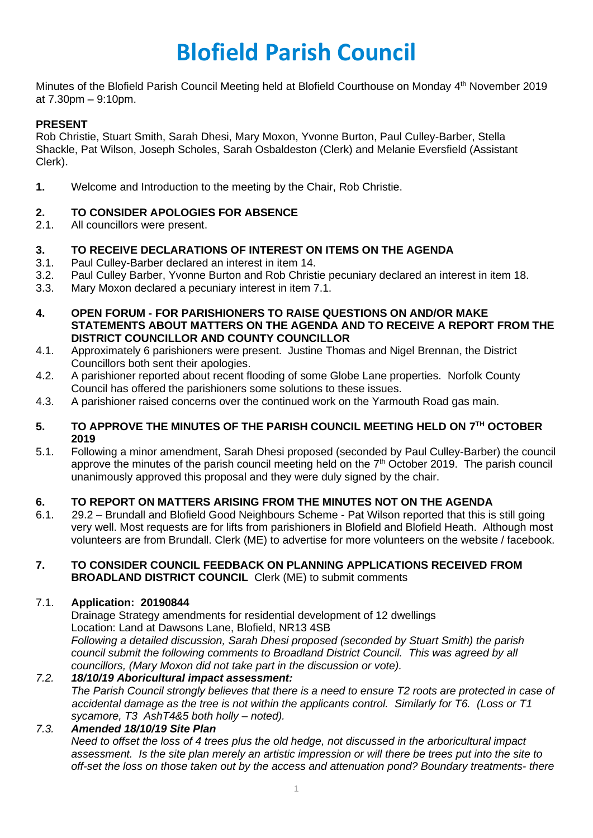# **Blofield Parish Council**

Minutes of the Blofield Parish Council Meeting held at Blofield Courthouse on Monday 4<sup>th</sup> November 2019 at 7.30pm – 9:10pm.

## **PRESENT**

Rob Christie, Stuart Smith, Sarah Dhesi, Mary Moxon, Yvonne Burton, Paul Culley-Barber, Stella Shackle, Pat Wilson, Joseph Scholes, Sarah Osbaldeston (Clerk) and Melanie Eversfield (Assistant Clerk).

**1.** Welcome and Introduction to the meeting by the Chair, Rob Christie.

# **2. TO CONSIDER APOLOGIES FOR ABSENCE**

2.1. All councillors were present.

## **3. TO RECEIVE DECLARATIONS OF INTEREST ON ITEMS ON THE AGENDA**

- 3.1. Paul Culley-Barber declared an interest in item 14.
- 3.2. Paul Culley Barber, Yvonne Burton and Rob Christie pecuniary declared an interest in item 18.
- 3.3. Mary Moxon declared a pecuniary interest in item 7.1.
- **4. OPEN FORUM - FOR PARISHIONERS TO RAISE QUESTIONS ON AND/OR MAKE STATEMENTS ABOUT MATTERS ON THE AGENDA AND TO RECEIVE A REPORT FROM THE DISTRICT COUNCILLOR AND COUNTY COUNCILLOR**
- 4.1. Approximately 6 parishioners were present. Justine Thomas and Nigel Brennan, the District Councillors both sent their apologies.
- 4.2. A parishioner reported about recent flooding of some Globe Lane properties. Norfolk County Council has offered the parishioners some solutions to these issues.
- 4.3. A parishioner raised concerns over the continued work on the Yarmouth Road gas main.

#### **5. TO APPROVE THE MINUTES OF THE PARISH COUNCIL MEETING HELD ON 7 TH OCTOBER 2019**

5.1. Following a minor amendment, Sarah Dhesi proposed (seconded by Paul Culley-Barber) the council approve the minutes of the parish council meeting held on the 7<sup>th</sup> October 2019. The parish council unanimously approved this proposal and they were duly signed by the chair.

# **6. TO REPORT ON MATTERS ARISING FROM THE MINUTES NOT ON THE AGENDA**

6.1. 29.2 – Brundall and Blofield Good Neighbours Scheme - Pat Wilson reported that this is still going very well. Most requests are for lifts from parishioners in Blofield and Blofield Heath. Although most volunteers are from Brundall. Clerk (ME) to advertise for more volunteers on the website / facebook.

#### **7. TO CONSIDER COUNCIL FEEDBACK ON PLANNING APPLICATIONS RECEIVED FROM BROADLAND DISTRICT COUNCIL** Clerk (ME) to submit comments

#### 7.1. **Application: 20190844**

Drainage Strategy amendments for residential development of 12 dwellings Location: Land at Dawsons Lane, Blofield, NR13 4SB *Following a detailed discussion, Sarah Dhesi proposed (seconded by Stuart Smith) the parish council submit the following comments to Broadland District Council. This was agreed by all councillors, (Mary Moxon did not take part in the discussion or vote).* 

#### *7.2. 18/10/19 Aboricultural impact assessment: The Parish Council strongly believes that there is a need to ensure T2 roots are protected in case of accidental damage as the tree is not within the applicants control. Similarly for T6. (Loss or T1*

#### *sycamore, T3 AshT4&5 both holly – noted). 7.3. Amended 18/10/19 Site Plan Need to offset the loss of 4 trees plus the old hedge, not discussed in the arboricultural impact assessment. Is the site plan merely an artistic impression or will there be trees put into the site to off-set the loss on those taken out by the access and attenuation pond? Boundary treatments- there*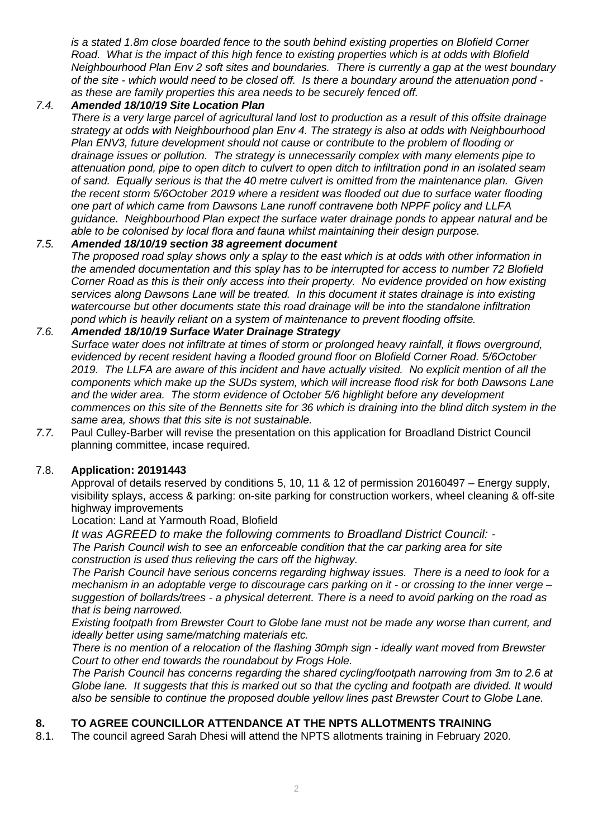*is a stated 1.8m close boarded fence to the south behind existing properties on Blofield Corner Road. What is the impact of this high fence to existing properties which is at odds with Blofield Neighbourhood Plan Env 2 soft sites and boundaries. There is currently a gap at the west boundary of the site - which would need to be closed off. Is there a boundary around the attenuation pond as these are family properties this area needs to be securely fenced off.*

# *7.4. Amended 18/10/19 Site Location Plan*

*There is a very large parcel of agricultural land lost to production as a result of this offsite drainage strategy at odds with Neighbourhood plan Env 4. The strategy is also at odds with Neighbourhood Plan ENV3, future development should not cause or contribute to the problem of flooding or drainage issues or pollution. The strategy is unnecessarily complex with many elements pipe to attenuation pond, pipe to open ditch to culvert to open ditch to infiltration pond in an isolated seam of sand. Equally serious is that the 40 metre culvert is omitted from the maintenance plan. Given the recent storm 5/6October 2019 where a resident was flooded out due to surface water flooding one part of which came from Dawsons Lane runoff contravene both NPPF policy and LLFA guidance. Neighbourhood Plan expect the surface water drainage ponds to appear natural and be able to be colonised by local flora and fauna whilst maintaining their design purpose.*

## *7.5. Amended 18/10/19 section 38 agreement document*

*The proposed road splay shows only a splay to the east which is at odds with other information in the amended documentation and this splay has to be interrupted for access to number 72 Blofield Corner Road as this is their only access into their property. No evidence provided on how existing services along Dawsons Lane will be treated. In this document it states drainage is into existing watercourse but other documents state this road drainage will be into the standalone infiltration pond which is heavily reliant on a system of maintenance to prevent flooding offsite.*

#### *7.6. Amended 18/10/19 Surface Water Drainage Strategy*

*Surface water does not infiltrate at times of storm or prolonged heavy rainfall, it flows overground, evidenced by recent resident having a flooded ground floor on Blofield Corner Road. 5/6October 2019. The LLFA are aware of this incident and have actually visited. No explicit mention of all the components which make up the SUDs system, which will increase flood risk for both Dawsons Lane and the wider area. The storm evidence of October 5/6 highlight before any development commences on this site of the Bennetts site for 36 which is draining into the blind ditch system in the same area, shows that this site is not sustainable.*

*7.7.* Paul Culley-Barber will revise the presentation on this application for Broadland District Council planning committee, incase required.

#### 7.8. **Application: 20191443**

Approval of details reserved by conditions 5, 10, 11 & 12 of permission 20160497 – Energy supply, visibility splays, access & parking: on-site parking for construction workers, wheel cleaning & off-site highway improvements

Location: Land at Yarmouth Road, Blofield

*It was AGREED to make the following comments to Broadland District Council: - The Parish Council wish to see an enforceable condition that the car parking area for site construction is used thus relieving the cars off the highway.* 

*The Parish Council have serious concerns regarding highway issues. There is a need to look for a mechanism in an adoptable verge to discourage cars parking on it - or crossing to the inner verge – suggestion of bollards/trees - a physical deterrent. There is a need to avoid parking on the road as that is being narrowed.* 

*Existing footpath from Brewster Court to Globe lane must not be made any worse than current, and ideally better using same/matching materials etc.* 

*There is no mention of a relocation of the flashing 30mph sign - ideally want moved from Brewster Court to other end towards the roundabout by Frogs Hole.*

*The Parish Council has concerns regarding the shared cycling/footpath narrowing from 3m to 2.6 at Globe lane. It suggests that this is marked out so that the cycling and footpath are divided. It would also be sensible to continue the proposed double yellow lines past Brewster Court to Globe Lane.* 

## **8. TO AGREE COUNCILLOR ATTENDANCE AT THE NPTS ALLOTMENTS TRAINING**

8.1. The council agreed Sarah Dhesi will attend the NPTS allotments training in February 2020.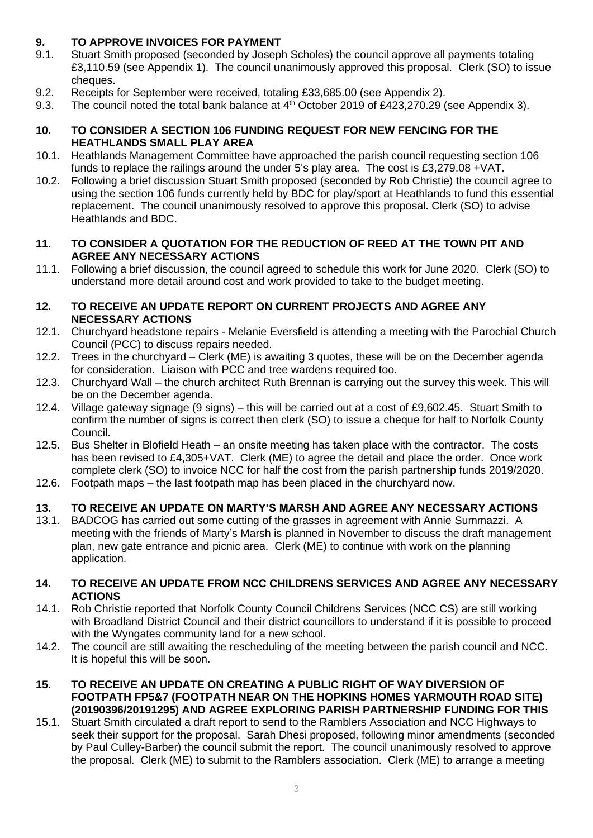# **9. TO APPROVE INVOICES FOR PAYMENT**

- 9.1. Stuart Smith proposed (seconded by Joseph Scholes) the council approve all payments totaling £3,110.59 (see Appendix 1). The council unanimously approved this proposal. Clerk (SO) to issue cheques.
- 9.2. Receipts for September were received, totaling £33,685.00 (see Appendix 2).
- 9.3. The council noted the total bank balance at  $4<sup>th</sup>$  October 2019 of £423,270.29 (see Appendix 3).

## **10. TO CONSIDER A SECTION 106 FUNDING REQUEST FOR NEW FENCING FOR THE HEATHLANDS SMALL PLAY AREA**

- 10.1. Heathlands Management Committee have approached the parish council requesting section 106 funds to replace the railings around the under 5's play area. The cost is £3,279.08 +VAT.
- 10.2. Following a brief discussion Stuart Smith proposed (seconded by Rob Christie) the council agree to using the section 106 funds currently held by BDC for play/sport at Heathlands to fund this essential replacement. The council unanimously resolved to approve this proposal. Clerk (SO) to advise Heathlands and BDC.

## **11. TO CONSIDER A QUOTATION FOR THE REDUCTION OF REED AT THE TOWN PIT AND AGREE ANY NECESSARY ACTIONS**

11.1. Following a brief discussion, the council agreed to schedule this work for June 2020. Clerk (SO) to understand more detail around cost and work provided to take to the budget meeting.

## **12. TO RECEIVE AN UPDATE REPORT ON CURRENT PROJECTS AND AGREE ANY NECESSARY ACTIONS**

- 12.1. Churchyard headstone repairs Melanie Eversfield is attending a meeting with the Parochial Church Council (PCC) to discuss repairs needed.
- 12.2. Trees in the churchyard Clerk (ME) is awaiting 3 quotes, these will be on the December agenda for consideration. Liaison with PCC and tree wardens required too.
- 12.3. Churchyard Wall the church architect Ruth Brennan is carrying out the survey this week. This will be on the December agenda.
- 12.4. Village gateway signage (9 signs) this will be carried out at a cost of £9,602.45. Stuart Smith to confirm the number of signs is correct then clerk (SO) to issue a cheque for half to Norfolk County Council.
- 12.5. Bus Shelter in Blofield Heath an onsite meeting has taken place with the contractor. The costs has been revised to £4,305+VAT. Clerk (ME) to agree the detail and place the order. Once work complete clerk (SO) to invoice NCC for half the cost from the parish partnership funds 2019/2020.
- 12.6. Footpath maps the last footpath map has been placed in the churchyard now.

# **13. TO RECEIVE AN UPDATE ON MARTY'S MARSH AND AGREE ANY NECESSARY ACTIONS**

13.1. BADCOG has carried out some cutting of the grasses in agreement with Annie Summazzi. A meeting with the friends of Marty's Marsh is planned in November to discuss the draft management plan, new gate entrance and picnic area. Clerk (ME) to continue with work on the planning application.

#### **14. TO RECEIVE AN UPDATE FROM NCC CHILDRENS SERVICES AND AGREE ANY NECESSARY ACTIONS**

- 14.1. Rob Christie reported that Norfolk County Council Childrens Services (NCC CS) are still working with Broadland District Council and their district councillors to understand if it is possible to proceed with the Wyngates community land for a new school.
- 14.2. The council are still awaiting the rescheduling of the meeting between the parish council and NCC. It is hopeful this will be soon.
- **15. TO RECEIVE AN UPDATE ON CREATING A PUBLIC RIGHT OF WAY DIVERSION OF FOOTPATH FP5&7 (FOOTPATH NEAR ON THE HOPKINS HOMES YARMOUTH ROAD SITE) (20190396/20191295) AND AGREE EXPLORING PARISH PARTNERSHIP FUNDING FOR THIS**
- 15.1. Stuart Smith circulated a draft report to send to the Ramblers Association and NCC Highways to seek their support for the proposal. Sarah Dhesi proposed, following minor amendments (seconded by Paul Culley-Barber) the council submit the report. The council unanimously resolved to approve the proposal. Clerk (ME) to submit to the Ramblers association. Clerk (ME) to arrange a meeting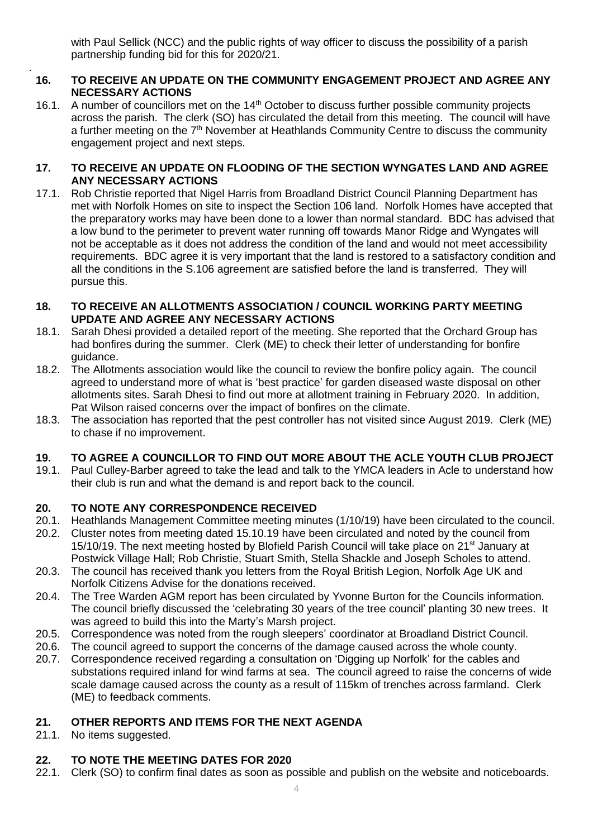with Paul Sellick (NCC) and the public rights of way officer to discuss the possibility of a parish partnership funding bid for this for 2020/21.

## **16. TO RECEIVE AN UPDATE ON THE COMMUNITY ENGAGEMENT PROJECT AND AGREE ANY NECESSARY ACTIONS**

16.1. A number of councillors met on the 14<sup>th</sup> October to discuss further possible community projects across the parish. The clerk (SO) has circulated the detail from this meeting. The council will have a further meeting on the 7<sup>th</sup> November at Heathlands Community Centre to discuss the community engagement project and next steps.

## **17. TO RECEIVE AN UPDATE ON FLOODING OF THE SECTION WYNGATES LAND AND AGREE ANY NECESSARY ACTIONS**

17.1. Rob Christie reported that Nigel Harris from Broadland District Council Planning Department has met with Norfolk Homes on site to inspect the Section 106 land. Norfolk Homes have accepted that the preparatory works may have been done to a lower than normal standard. BDC has advised that a low bund to the perimeter to prevent water running off towards Manor Ridge and Wyngates will not be acceptable as it does not address the condition of the land and would not meet accessibility requirements. BDC agree it is very important that the land is restored to a satisfactory condition and all the conditions in the S.106 agreement are satisfied before the land is transferred. They will pursue this.

## **18. TO RECEIVE AN ALLOTMENTS ASSOCIATION / COUNCIL WORKING PARTY MEETING UPDATE AND AGREE ANY NECESSARY ACTIONS**

- 18.1. Sarah Dhesi provided a detailed report of the meeting. She reported that the Orchard Group has had bonfires during the summer. Clerk (ME) to check their letter of understanding for bonfire guidance.
- 18.2. The Allotments association would like the council to review the bonfire policy again. The council agreed to understand more of what is 'best practice' for garden diseased waste disposal on other allotments sites. Sarah Dhesi to find out more at allotment training in February 2020. In addition, Pat Wilson raised concerns over the impact of bonfires on the climate.
- 18.3. The association has reported that the pest controller has not visited since August 2019. Clerk (ME) to chase if no improvement.

# **19. TO AGREE A COUNCILLOR TO FIND OUT MORE ABOUT THE ACLE YOUTH CLUB PROJECT**

19.1. Paul Culley-Barber agreed to take the lead and talk to the YMCA leaders in Acle to understand how their club is run and what the demand is and report back to the council.

# **20. TO NOTE ANY CORRESPONDENCE RECEIVED**

- 20.1. Heathlands Management Committee meeting minutes (1/10/19) have been circulated to the council.
- 20.2. Cluster notes from meeting dated 15.10.19 have been circulated and noted by the council from 15/10/19. The next meeting hosted by Blofield Parish Council will take place on 21<sup>st</sup> January at Postwick Village Hall; Rob Christie, Stuart Smith, Stella Shackle and Joseph Scholes to attend.
- 20.3. The council has received thank you letters from the Royal British Legion, Norfolk Age UK and Norfolk Citizens Advise for the donations received.
- 20.4. The Tree Warden AGM report has been circulated by Yvonne Burton for the Councils information. The council briefly discussed the 'celebrating 30 years of the tree council' planting 30 new trees. It was agreed to build this into the Marty's Marsh project.
- 20.5. Correspondence was noted from the rough sleepers' coordinator at Broadland District Council.
- 20.6. The council agreed to support the concerns of the damage caused across the whole county.
- 20.7. Correspondence received regarding a consultation on 'Digging up Norfolk' for the cables and substations required inland for wind farms at sea. The council agreed to raise the concerns of wide scale damage caused across the county as a result of 115km of trenches across farmland. Clerk (ME) to feedback comments.

# **21. OTHER REPORTS AND ITEMS FOR THE NEXT AGENDA**

21.1. No items suggested.

.

# **22. TO NOTE THE MEETING DATES FOR 2020**

22.1. Clerk (SO) to confirm final dates as soon as possible and publish on the website and noticeboards.